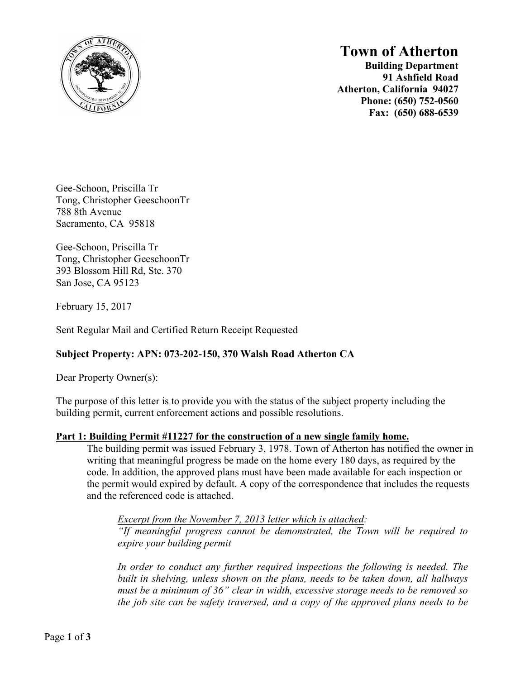

## **Town of Atherton**

**Building Department 91 Ashfield Road Atherton, California 94027 Phone: (650) 752-0560 Fax: (650) 688-6539**

Gee-Schoon, Priscilla Tr Tong, Christopher GeeschoonTr 788 8th Avenue Sacramento, CA 95818

Gee-Schoon, Priscilla Tr Tong, Christopher GeeschoonTr 393 Blossom Hill Rd, Ste. 370 San Jose, CA 95123

February 15, 2017

Sent Regular Mail and Certified Return Receipt Requested

### **Subject Property: APN: 073-202-150, 370 Walsh Road Atherton CA**

Dear Property Owner(s):

The purpose of this letter is to provide you with the status of the subject property including the building permit, current enforcement actions and possible resolutions.

### **Part 1: Building Permit #11227 for the construction of a new single family home.**

The building permit was issued February 3, 1978. Town of Atherton has notified the owner in writing that meaningful progress be made on the home every 180 days, as required by the code. In addition, the approved plans must have been made available for each inspection or the permit would expired by default. A copy of the correspondence that includes the requests and the referenced code is attached.

*Excerpt from the November 7, 2013 letter which is attached: "If meaningful progress cannot be demonstrated, the Town will be required to expire your building permit*

In order to conduct any further required inspections the following is needed. The *built in shelving, unless shown on the plans, needs to be taken down, all hallways must be a minimum of 36" clear in width, excessive storage needs to be removed so the job site can be safety traversed, and a copy of the approved plans needs to be*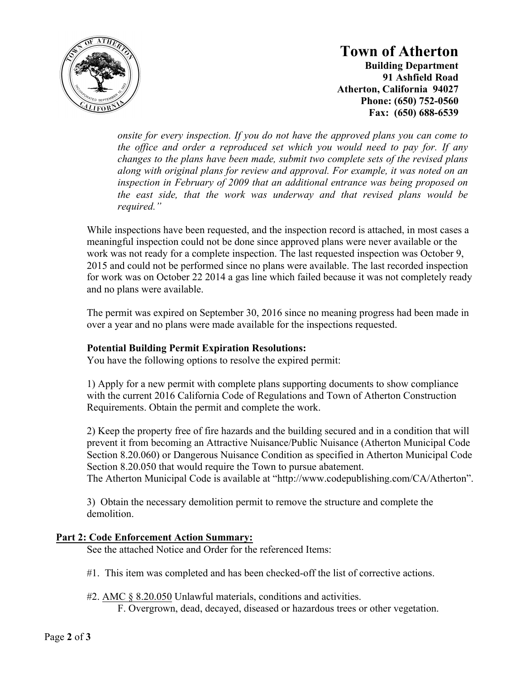

# **Town of Atherton**

**Building Department 91 Ashfield Road Atherton, California 94027 Phone: (650) 752-0560 Fax: (650) 688-6539**

*onsite for every inspection. If you do not have the approved plans you can come to the office and order a reproduced set which you would need to pay for. If any changes to the plans have been made, submit two complete sets of the revised plans along with original plans for review and approval. For example, it was noted on an inspection in February of 2009 that an additional entrance was being proposed on the east side, that the work was underway and that revised plans would be required."*

While inspections have been requested, and the inspection record is attached, in most cases a meaningful inspection could not be done since approved plans were never available or the work was not ready for a complete inspection. The last requested inspection was October 9, 2015 and could not be performed since no plans were available. The last recorded inspection for work was on October 22 2014 a gas line which failed because it was not completely ready and no plans were available.

The permit was expired on September 30, 2016 since no meaning progress had been made in over a year and no plans were made available for the inspections requested.

### **Potential Building Permit Expiration Resolutions:**

You have the following options to resolve the expired permit:

1) Apply for a new permit with complete plans supporting documents to show compliance with the current 2016 California Code of Regulations and Town of Atherton Construction Requirements. Obtain the permit and complete the work.

2) Keep the property free of fire hazards and the building secured and in a condition that will prevent it from becoming an Attractive Nuisance/Public Nuisance (Atherton Municipal Code Section 8.20.060) or Dangerous Nuisance Condition as specified in Atherton Municipal Code Section 8.20.050 that would require the Town to pursue abatement.

The Atherton Municipal Code is available at "http://www.codepublishing.com/CA/Atherton".

3) Obtain the necessary demolition permit to remove the structure and complete the demolition.

### **Part 2: Code Enforcement Action Summary:**

See the attached Notice and Order for the referenced Items:

- #1. This item was completed and has been checked-off the list of corrective actions.
- #2. AMC § 8.20.050 Unlawful materials, conditions and activities. F. Overgrown, dead, decayed, diseased or hazardous trees or other vegetation.